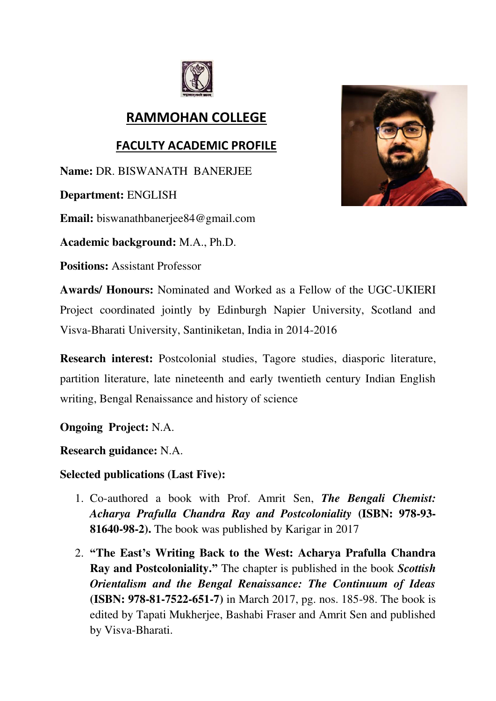

## **RAMMOHAN COLLEGE**

## **FACULTY ACADEMIC PROFILE**

**Name:** DR. BISWANATH BANERJEE

**Department:** ENGLISH

**Email:** biswanathbanerjee84@gmail.com

**Academic background:** M.A., Ph.D.

**Positions:** Assistant Professor

**Awards/ Honours:** Nominated and Worked as a Fellow of the UGC-UKIERI Project coordinated jointly by Edinburgh Napier University, Scotland and Visva-Bharati University, Santiniketan, India in 2014-2016

**Research interest:** Postcolonial studies, Tagore studies, diasporic literature, partition literature, late nineteenth and early twentieth century Indian English writing, Bengal Renaissance and history of science

**Ongoing Project:** N.A.

**Research guidance:** N.A.

**Selected publications (Last Five):** 

- 1. Co-authored a book with Prof. Amrit Sen, *The Bengali Chemist: Acharya Prafulla Chandra Ray and Postcoloniality* **(ISBN: 978-93- 81640-98-2).** The book was published by Karigar in 2017
- 2. **"The East's Writing Back to the West: Acharya Prafulla Chandra Ray and Postcoloniality."** The chapter is published in the book *Scottish Orientalism and the Bengal Renaissance: The Continuum of Ideas* **(ISBN: 978-81-7522-651-7)** in March 2017, pg. nos. 185-98. The book is edited by Tapati Mukherjee, Bashabi Fraser and Amrit Sen and published by Visva-Bharati.